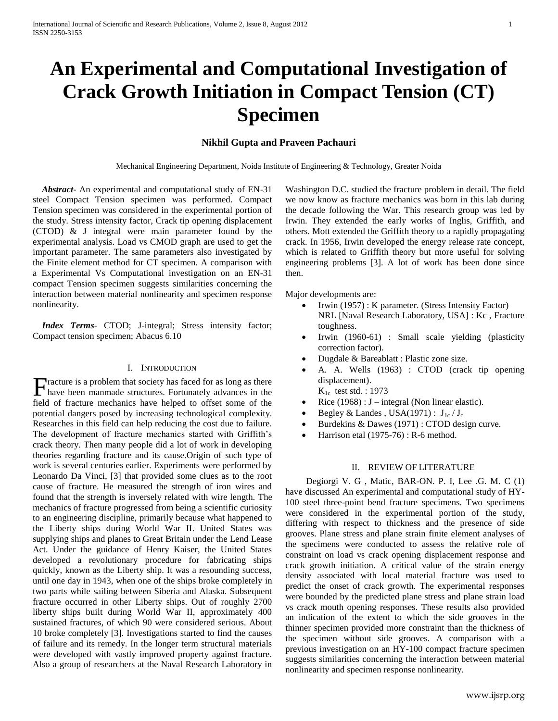# **An Experimental and Computational Investigation of Crack Growth Initiation in Compact Tension (CT) Specimen**

# **Nikhil Gupta and Praveen Pachauri**

Mechanical Engineering Department, Noida Institute of Engineering & Technology, Greater Noida

 *Abstract***-** An experimental and computational study of EN-31 steel Compact Tension specimen was performed. Compact Tension specimen was considered in the experimental portion of the study. Stress intensity factor, Crack tip opening displacement (CTOD) & J integral were main parameter found by the experimental analysis. Load vs CMOD graph are used to get the important parameter. The same parameters also investigated by the Finite element method for CT specimen. A comparison with a Experimental Vs Computational investigation on an EN-31 compact Tension specimen suggests similarities concerning the interaction between material nonlinearity and specimen response nonlinearity.

 *Index Terms*- CTOD; J-integral; Stress intensity factor; Compact tension specimen; Abacus 6.10

### I. INTRODUCTION

racture is a problem that society has faced for as long as there Fracture is a problem that society has faced for as long as there have been manmade structures. Fortunately advances in the field of fracture mechanics have helped to offset some of the potential dangers posed by increasing technological complexity. Researches in this field can help reducing the cost due to failure. The development of fracture mechanics started with Griffith's crack theory. Then many people did a lot of work in developing theories regarding fracture and its cause.Origin of such type of work is several centuries earlier. Experiments were performed by Leonardo Da Vinci, [3] that provided some clues as to the root cause of fracture. He measured the strength of iron wires and found that the strength is inversely related with wire length. The mechanics of fracture progressed from being a scientific curiosity to an engineering discipline, primarily because what happened to the Liberty ships during World War II. United States was supplying ships and planes to Great Britain under the Lend Lease Act. Under the guidance of Henry Kaiser, the United States developed a revolutionary procedure for fabricating ships quickly, known as the Liberty ship. It was a resounding success, until one day in 1943, when one of the ships broke completely in two parts while sailing between Siberia and Alaska. Subsequent fracture occurred in other Liberty ships. Out of roughly 2700 liberty ships built during World War II, approximately 400 sustained fractures, of which 90 were considered serious. About 10 broke completely [3]. Investigations started to find the causes of failure and its remedy. In the longer term structural materials were developed with vastly improved property against fracture. Also a group of researchers at the Naval Research Laboratory in

Washington D.C. studied the fracture problem in detail. The field we now know as fracture mechanics was born in this lab during the decade following the War. This research group was led by Irwin. They extended the early works of Inglis, Griffith, and others. Mott extended the Griffith theory to a rapidly propagating crack. In 1956, Irwin developed the energy release rate concept, which is related to Griffith theory but more useful for solving engineering problems [3]. A lot of work has been done since then.

Major developments are:

- Irwin (1957) : K parameter. (Stress Intensity Factor) NRL [Naval Research Laboratory, USA] : Kc , Fracture toughness.
- Irwin (1960-61) : Small scale yielding (plasticity correction factor).
- Dugdale & Bareablatt : Plastic zone size.
- A. A. Wells (1963) : CTOD (crack tip opening displacement).  $K_{1c}$  test std. : 1973
- Rice (1968) : J integral (Non linear elastic).
- Begley & Landes, USA(1971) :  $J_{1c}/J_c$
- Burdekins & Dawes (1971) : CTOD design curve.
- Harrison etal (1975-76) : R-6 method.

## II. REVIEW OF LITERATURE

 Degiorgi V. G , Matic, BAR-ON. P. I, Lee .G. M. C (1) have discussed An experimental and computational study of HY-100 steel three-point bend fracture specimens. Two specimens were considered in the experimental portion of the study, differing with respect to thickness and the presence of side grooves. Plane stress and plane strain finite element analyses of the specimens were conducted to assess the relative role of constraint on load vs crack opening displacement response and crack growth initiation. A critical value of the strain energy density associated with local material fracture was used to predict the onset of crack growth. The experimental responses were bounded by the predicted plane stress and plane strain load vs crack mouth opening responses. These results also provided an indication of the extent to which the side grooves in the thinner specimen provided more constraint than the thickness of the specimen without side grooves. A comparison with a previous investigation on an HY-100 compact fracture specimen suggests similarities concerning the interaction between material nonlinearity and specimen response nonlinearity.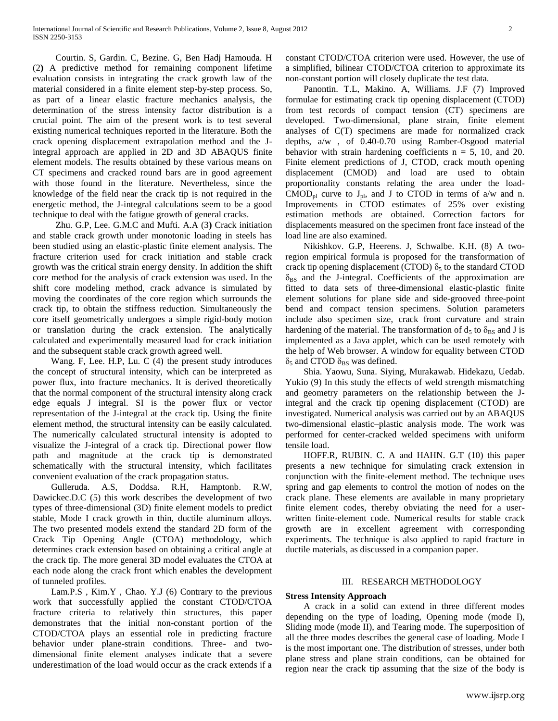Courtin. S, Gardin. C, Bezine. G, Ben Hadj Hamouda. H (2**)** A predictive method for remaining component lifetime evaluation consists in integrating the crack growth law of the material considered in a finite element step-by-step process. So, as part of a linear elastic fracture mechanics analysis, the determination of the stress intensity factor distribution is a crucial point. The aim of the present work is to test several existing numerical techniques reported in the literature. Both the crack opening displacement extrapolation method and the Jintegral approach are applied in 2D and 3D ABAQUS finite element models. The results obtained by these various means on CT specimens and cracked round bars are in good agreement with those found in the literature. Nevertheless, since the knowledge of the field near the crack tip is not required in the energetic method, the J-integral calculations seem to be a good technique to deal with the fatigue growth of general cracks.

 Zhu. G.P, Lee. G.M.C and Mufti. A.A (3**)** Crack initiation and stable crack growth under monotonic loading in steels has been studied using an elastic-plastic finite element analysis. The fracture criterion used for crack initiation and stable crack growth was the critical strain energy density. In addition the shift core method for the analysis of crack extension was used. In the shift core modeling method, crack advance is simulated by moving the coordinates of the core region which surrounds the crack tip, to obtain the stiffness reduction. Simultaneously the core itself geometrically undergoes a simple rigid-body motion or translation during the crack extension. The analytically calculated and experimentally measured load for crack initiation and the subsequent stable crack growth agreed well.

 Wang. F, Lee. H.P, Lu. C (4) the present study introduces the concept of structural intensity, which can be interpreted as power flux, into fracture mechanics. It is derived theoretically that the normal component of the structural intensity along crack edge equals J integral. SI is the power flux or vector representation of the J-integral at the crack tip. Using the finite element method, the structural intensity can be easily calculated. The numerically calculated structural intensity is adopted to visualize the J-integral of a crack tip. Directional power flow path and magnitude at the crack tip is demonstrated schematically with the structural intensity, which facilitates convenient evaluation of the crack propagation status.

 Gulleruda. A.S, Doddsa. R.H, Hamptonb. R.W, Dawickec.D.C (5) this work describes the development of two types of three-dimensional (3D) finite element models to predict stable, Mode I crack growth in thin, ductile aluminum alloys. The two presented models extend the standard 2D form of the Crack Tip Opening Angle (CTOA) methodology, which determines crack extension based on obtaining a critical angle at the crack tip. The more general 3D model evaluates the CTOA at each node along the crack front which enables the development of tunneled profiles.

 Lam.P.S , Kim.Y , Chao. Y.J (6) Contrary to the previous work that successfully applied the constant CTOD/CTOA fracture criteria to relatively thin structures, this paper demonstrates that the initial non-constant portion of the CTOD/CTOA plays an essential role in predicting fracture behavior under plane-strain conditions. Three- and twodimensional finite element analyses indicate that a severe underestimation of the load would occur as the crack extends if a

constant CTOD/CTOA criterion were used. However, the use of a simplified, bilinear CTOD/CTOA criterion to approximate its non-constant portion will closely duplicate the test data.

 Panontin. T.L, Makino. A, Williams. J.F (7) Improved formulae for estimating crack tip opening displacement (CTOD) from test records of compact tension (CT) specimens are developed. Two-dimensional, plane strain, finite element analyses of C(T) specimens are made for normalized crack depths, a/w , of 0.40-0.70 using Ramber-Osgood material behavior with strain hardening coefficients  $n = 5$ , 10, and 20. Finite element predictions of J, CTOD, crack mouth opening displacement (CMOD) and load are used to obtain proportionality constants relating the area under the load-CMOD<sub>pl</sub> curve to J<sub>pl</sub>, and J to CTOD in terms of a/w and n. Improvements in CTOD estimates of 25% over existing estimation methods are obtained. Correction factors for displacements measured on the specimen front face instead of the load line are also examined.

 Nikishkov. G.P, Heerens. J, Schwalbe. K.H. (8) A tworegion empirical formula is proposed for the transformation of crack tip opening displacement (CTOD)  $\delta_5$  to the standard CTOD  $\delta_{BS}$  and the J-integral. Coefficients of the approximation are fitted to data sets of three-dimensional elastic-plastic finite element solutions for plane side and side-grooved three-point bend and compact tension specimens. Solution parameters include also specimen size, crack front curvature and strain hardening of the material. The transformation of  $d_5$  to  $\delta_{BS}$  and J is implemented as a Java applet, which can be used remotely with the help of Web browser. A window for equality between CTOD  $\delta_5$  and CTOD  $\delta_{\text{BS}}$  was defined.

 Shia. Yaowu, Suna. Siying, Murakawab. Hidekazu, Uedab. Yukio (9) In this study the effects of weld strength mismatching and geometry parameters on the relationship between the Jintegral and the crack tip opening displacement (CTOD) are investigated. Numerical analysis was carried out by an ABAQUS two-dimensional elastic–plastic analysis mode. The work was performed for center-cracked welded specimens with uniform tensile load.

 HOFF.R, RUBIN. C. A and HAHN. G.T (10) this paper presents a new technique for simulating crack extension in conjunction with the finite-element method. The technique uses spring and gap elements to control the motion of nodes on the crack plane. These elements are available in many proprietary finite element codes, thereby obviating the need for a userwritten finite-element code. Numerical results for stable crack growth are in excellent agreement with corresponding experiments. The technique is also applied to rapid fracture in ductile materials, as discussed in a companion paper.

## III. RESEARCH METHODOLOGY

# **Stress Intensity Approach**

 A crack in a solid can extend in three different modes depending on the type of loading, Opening mode (mode I), Sliding mode (mode II), and Tearing mode. The superposition of all the three modes describes the general case of loading. Mode I is the most important one. The distribution of stresses, under both plane stress and plane strain conditions, can be obtained for region near the crack tip assuming that the size of the body is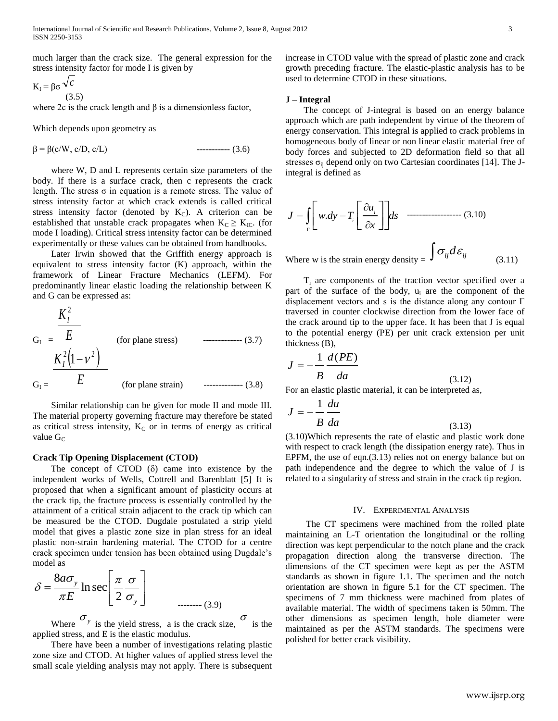much larger than the crack size. The general expression for the stress intensity factor for mode I is given by

$$
K_{I} = \beta \sigma \frac{\sqrt{c}}{(3.5)}
$$

where 2c is the crack length and  $\beta$  is a dimensionless factor,

Which depends upon geometry as

 $\beta = \beta(c/W, c/D, c/L)$  ----------- (3.6)

 where W, D and L represents certain size parameters of the body. If there is a surface crack, then c represents the crack length. The stress  $\sigma$  in equation is a remote stress. The value of stress intensity factor at which crack extends is called critical stress intensity factor (denoted by  $K<sub>C</sub>$ ). A criterion can be established that unstable crack propagates when  $K_C \geq K_{IC}$ . (for mode I loading). Critical stress intensity factor can be determined experimentally or these values can be obtained from handbooks.

 Later Irwin showed that the Griffith energy approach is equivalent to stress intensity factor (K) approach, within the framework of Linear Fracture Mechanics (LEFM). For predominantly linear elastic loading the relationship between K and G can be expressed as:

$$
G_{I} = \frac{K_{I}^{2}}{E}
$$
 (for plane stress) (3.7)  
\n
$$
\frac{K_{I}^{2}(1-\nu^{2})}{E}
$$
 (for plane strain) (3.8)

 Similar relationship can be given for mode II and mode III. The material property governing fracture may therefore be stated as critical stress intensity,  $K_C$  or in terms of energy as critical value  $G_C$ 

#### **Crack Tip Opening Displacement (CTOD)**

The concept of CTOD  $(\delta)$  came into existence by the independent works of Wells, Cottrell and Barenblatt [5] It is proposed that when a significant amount of plasticity occurs at the crack tip, the fracture process is essentially controlled by the attainment of a critical strain adjacent to the crack tip which can be measured be the CTOD. Dugdale postulated a strip yield model that gives a plastic zone size in plan stress for an ideal plastic non-strain hardening material. The CTOD for a centre crack specimen under tension has been obtained using Dugdale's model as

$$
\delta = \frac{8a\sigma_y}{\pi E} \ln \sec \left[ \frac{\pi}{2} \frac{\sigma}{\sigma_y} \right]
$$
........(3.9)

Where  $\sigma_y$  is the yield stress, a is the crack size,  $\sigma$  is the applied stress, and E is the elastic modulus.

 There have been a number of investigations relating plastic zone size and CTOD. At higher values of applied stress level the small scale yielding analysis may not apply. There is subsequent

increase in CTOD value with the spread of plastic zone and crack growth preceding fracture. The elastic-plastic analysis has to be used to determine CTOD in these situations.

#### **J – Integral**

 The concept of J-integral is based on an energy balance approach which are path independent by virtue of the theorem of energy conservation. This integral is applied to crack problems in homogeneous body of linear or non linear elastic material free of body forces and subjected to 2D deformation field so that all stresses  $\sigma_{ii}$  depend only on two Cartesian coordinates [14]. The Jintegral is defined as

$$
J = \int_{\Gamma} \left[ w \, dy - T_i \left[ \frac{\partial u_i}{\partial x} \right] \right] ds
$$

Where w is the strain energy density =  $\int \sigma_{ij} d\varepsilon_{ij}$  (3.11)

 $T_i$  are components of the traction vector specified over a part of the surface of the body, u<sup>i</sup> are the component of the displacement vectors and s is the distance along any contour  $\Gamma$ traversed in counter clockwise direction from the lower face of the crack around tip to the upper face. It has been that J is equal to the potential energy (PE) per unit crack extension per unit thickness (B),

$$
J = -\frac{1}{B} \frac{d(PE)}{da}
$$
 (3.12)

For an elastic plastic material, it can be interpreted as,

$$
J = -\frac{1}{B} \frac{du}{da}
$$
 (3.13)

(3.10)Which represents the rate of elastic and plastic work done with respect to crack length (the dissipation energy rate). Thus in EPFM, the use of eqn.(3.13) relies not on energy balance but on path independence and the degree to which the value of J is related to a singularity of stress and strain in the crack tip region.

#### IV. EXPERIMENTAL ANALYSIS

 The CT specimens were machined from the rolled plate maintaining an L-T orientation the longitudinal or the rolling direction was kept perpendicular to the notch plane and the crack propagation direction along the transverse direction. The dimensions of the CT specimen were kept as per the ASTM standards as shown in figure 1.1. The specimen and the notch orientation are shown in figure 5.1 for the CT specimen. The specimens of 7 mm thickness were machined from plates of available material. The width of specimens taken is 50mm. The other dimensions as specimen length, hole diameter were maintained as per the ASTM standards. The specimens were polished for better crack visibility.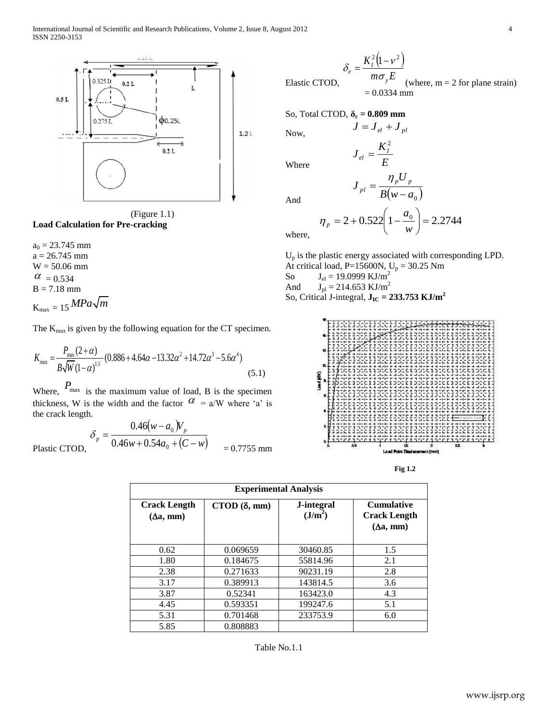

(Figure 1.1) **Load Calculation for Pre-cracking**

 $a_0 = 23.745$  mm  $a = 26.745$  mm W = 50.06 mm  $\alpha$  = 0.534  $B = 7.18$  mm  $K_{\text{max}} = 15 \, MPa \sqrt{m}$ 

The K<sub>max</sub> is given by the following equation for the CT specimen.  
\n
$$
K_{\text{max}} = \frac{P_{\text{max}}(2+\alpha)}{B\sqrt{W}(1-\alpha)^{1.5}} (0.886 + 4.64\alpha - 13.32\alpha^2 + 14.72\alpha^3 - 5.6\alpha^4)
$$
\n(5.1)

Where,  $P_{\text{max}}$  is the maximum value of load, B is the specimen thickness, W is the width and the factor  $\alpha$  = a/W where 'a' is the crack length.

$$
\delta_p = \frac{0.46(w - a_0)V_p}{0.46w + 0.54a_0 + (C - w)} = 0.7755 \text{ mm}
$$

$$
\delta_e = \frac{K_I^2 (1 - v^2)}{m \sigma_y E}
$$
  
Elastic CTOD,  
= 0.0334 mm (where, m = 2 for plane strain)

So, Total CTOD, **δ<sup>c</sup> = 0.809 mm**

Now,

Where

And

$$
\eta_p = 2 + 0.522 \left( 1 - \frac{a_0}{w} \right) = 2.2744
$$

 $B(w-a_0)$ *U*

 $J = J_{el} + J_{pl}$ 

 $=$ 

*E*  $J_{el} = \frac{K_I^2}{E}$ 

 $J_{pl} = \frac{\eta_p}{\Gamma} (p \frac{p}{p})$  $p_l$ <sup>-</sup>  $B(w =\frac{\eta}{\eta}$ 

2

where,

U<sup>p</sup> is the plastic energy associated with corresponding LPD. At critical load, P=15600N,  $U_p = 30.25$  Nm

So  $J_{el} = 19.0999 \text{ KJ/m}^2$ 

And  $J_{\text{pl}} = 214.653 \text{ KJ/m}^2$ 

So, Critical J-integral, 
$$
J_{IC} = 233.753 \text{ KJ/m}^2
$$



**Fig 1.2**

| <b>Experimental Analysis</b>                   |                         |                                   |                                                                     |  |
|------------------------------------------------|-------------------------|-----------------------------------|---------------------------------------------------------------------|--|
| <b>Crack Length</b><br>$(\Delta a, \text{mm})$ | $CTOD$ ( $\delta$ , mm) | J-integral<br>(J/m <sup>2</sup> ) | <b>Cumulative</b><br><b>Crack Length</b><br>$(\Delta a, \text{mm})$ |  |
| 0.62                                           | 0.069659                | 30460.85                          | 1.5                                                                 |  |
| 1.80                                           | 0.184675                | 55814.96                          | 2.1                                                                 |  |
| 2.38                                           | 0.271633                | 90231.19                          | 2.8                                                                 |  |
| 3.17                                           | 0.389913                | 143814.5                          | 3.6                                                                 |  |
| 3.87                                           | 0.52341                 | 163423.0                          | 4.3                                                                 |  |
| 4.45                                           | 0.593351                | 199247.6                          | 5.1                                                                 |  |
| 5.31                                           | 0.701468                | 233753.9                          | 6.0                                                                 |  |
| 5.85                                           | 0.808883                |                                   |                                                                     |  |

Table No.1.1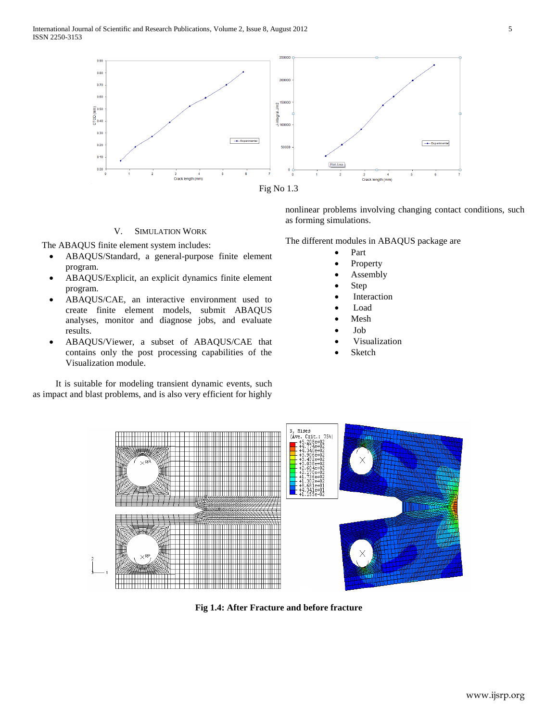

## V. SIMULATION WORK

The ABAQUS finite element system includes:

- ABAQUS/Standard, a general-purpose finite element program.
- ABAQUS/Explicit, an explicit dynamics finite element program.
- ABAQUS/CAE, an interactive environment used to create finite element models, submit ABAQUS analyses, monitor and diagnose jobs, and evaluate results.
- ABAQUS/Viewer, a subset of ABAQUS/CAE that contains only the post processing capabilities of the Visualization module.

 It is suitable for modeling transient dynamic events, such as impact and blast problems, and is also very efficient for highly nonlinear problems involving changing contact conditions, such as forming simulations.

The different modules in ABAQUS package are

- Part
- Property
- Assembly
- Step
- Interaction
- Load
- Mesh
- Job
- Visualization
- Sketch



**Fig 1.4: After Fracture and before fracture**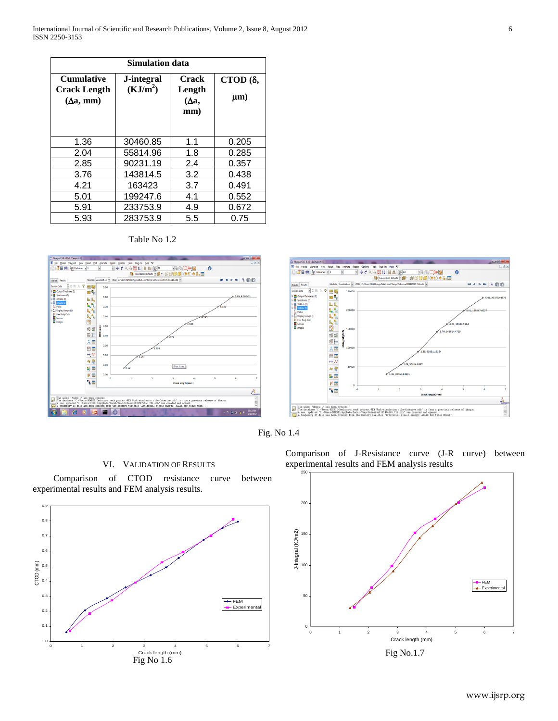| Simulation data                                              |                                    |                                       |                             |  |  |
|--------------------------------------------------------------|------------------------------------|---------------------------------------|-----------------------------|--|--|
| <b>Cumulative</b><br><b>Crack Length</b><br>$(\Delta a, mm)$ | J-integral<br>(KJ/m <sup>2</sup> ) | <b>Crack</b><br>Length<br>(Δa,<br>mm) | CTOD $(\delta,$<br>$\mu$ m) |  |  |
| 1.36                                                         | 30460.85                           | 1.1                                   | 0.205                       |  |  |
| 2.04                                                         | 55814.96                           | 1.8                                   | 0.285                       |  |  |
| 2.85                                                         | 90231.19                           | 2.4                                   | 0.357                       |  |  |
| 3.76                                                         | 143814.5                           | 3.2                                   | 0.438                       |  |  |
| 4.21                                                         | 163423                             | 3.7                                   | 0.491                       |  |  |
| 5.01                                                         | 199247.6                           | 4.1                                   | 0.552                       |  |  |
| 5.91                                                         | 233753.9                           | 4.9                                   | 0.672                       |  |  |
| 5.93                                                         | 283753.9                           | 5.5                                   | 0.75                        |  |  |







Fig. No 1.4

# VI. VALIDATION OF RESULTS

 Comparison of CTOD resistance curve between experimental results and FEM analysis results.



Comparison of J-Resistance curve (J-R curve) between experimental results and FEM analysis results